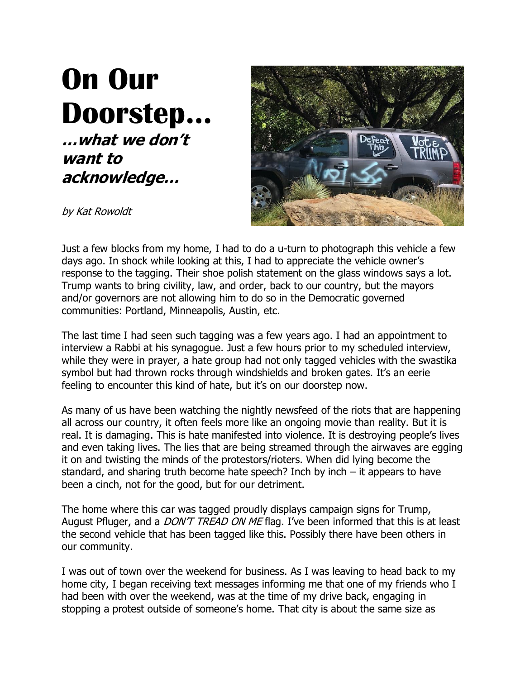## **On Our Doorstep… …what we don't want to acknowledge…**



by Kat Rowoldt

Just a few blocks from my home, I had to do a u-turn to photograph this vehicle a few days ago. In shock while looking at this, I had to appreciate the vehicle owner's response to the tagging. Their shoe polish statement on the glass windows says a lot. Trump wants to bring civility, law, and order, back to our country, but the mayors and/or governors are not allowing him to do so in the Democratic governed communities: Portland, Minneapolis, Austin, etc.

The last time I had seen such tagging was a few years ago. I had an appointment to interview a Rabbi at his synagogue. Just a few hours prior to my scheduled interview, while they were in prayer, a hate group had not only tagged vehicles with the swastika symbol but had thrown rocks through windshields and broken gates. It's an eerie feeling to encounter this kind of hate, but it's on our doorstep now.

As many of us have been watching the nightly newsfeed of the riots that are happening all across our country, it often feels more like an ongoing movie than reality. But it is real. It is damaging. This is hate manifested into violence. It is destroying people's lives and even taking lives. The lies that are being streamed through the airwaves are egging it on and twisting the minds of the protestors/rioters. When did lying become the standard, and sharing truth become hate speech? Inch by inch  $-$  it appears to have been a cinch, not for the good, but for our detriment.

The home where this car was tagged proudly displays campaign signs for Trump, August Pfluger, and a *DON'T TREAD ON ME* flag. I've been informed that this is at least the second vehicle that has been tagged like this. Possibly there have been others in our community.

I was out of town over the weekend for business. As I was leaving to head back to my home city, I began receiving text messages informing me that one of my friends who I had been with over the weekend, was at the time of my drive back, engaging in stopping a protest outside of someone's home. That city is about the same size as